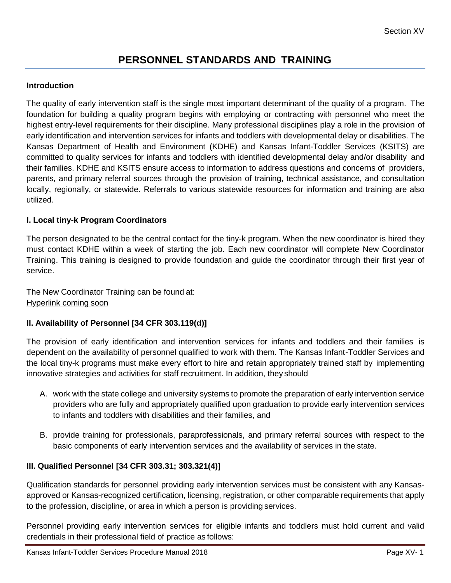# **PERSONNEL STANDARDS AND TRAINING**

## **Introduction**

The quality of early intervention staff is the single most important determinant of the quality of a program. The foundation for building a quality program begins with employing or contracting with personnel who meet the highest entry-level requirements for their discipline. Many professional disciplines play a role in the provision of early identification and intervention services for infants and toddlers with developmental delay or disabilities. The Kansas Department of Health and Environment (KDHE) and Kansas Infant-Toddler Services (KSITS) are committed to quality services for infants and toddlers with identified developmental delay and/or disability and their families. KDHE and KSITS ensure access to information to address questions and concerns of providers, parents, and primary referral sources through the provision of training, technical assistance, and consultation locally, regionally, or statewide. Referrals to various statewide resources for information and training are also utilized.

### **I. Local tiny-k Program Coordinators**

The person designated to be the central contact for the tiny-k program. When the new coordinator is hired they must contact KDHE within a week of starting the job. Each new coordinator will complete New Coordinator Training. This training is designed to provide foundation and guide the coordinator through their first year of service.

The New Coordinator Training can be found at: Hyperlink coming soon

#### **II. Availability of Personnel [34 CFR 303.119(d)]**

The provision of early identification and intervention services for infants and toddlers and their families is dependent on the availability of personnel qualified to work with them. The Kansas Infant-Toddler Services and the local tiny-k programs must make every effort to hire and retain appropriately trained staff by implementing innovative strategies and activities for staff recruitment. In addition, they should

- A. work with the state college and university systems to promote the preparation of early intervention service providers who are fully and appropriately qualified upon graduation to provide early intervention services to infants and toddlers with disabilities and their families, and
- B. provide training for professionals, paraprofessionals, and primary referral sources with respect to the basic components of early intervention services and the availability of services in the state.

## **III. Qualified Personnel [34 CFR 303.31; 303.321(4)]**

Qualification standards for personnel providing early intervention services must be consistent with any Kansasapproved or Kansas-recognized certification, licensing, registration, or other comparable requirements that apply to the profession, discipline, or area in which a person is providing services.

Personnel providing early intervention services for eligible infants and toddlers must hold current and valid credentials in their professional field of practice as follows: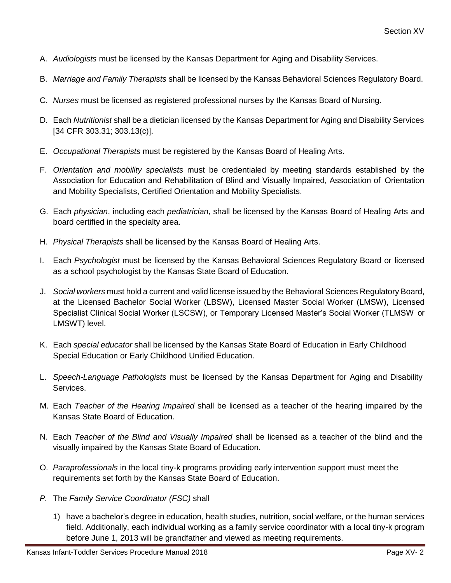- A. *Audiologists* must be licensed by the Kansas Department for Aging and Disability Services.
- B. *Marriage and Family Therapists* shall be licensed by the Kansas Behavioral Sciences Regulatory Board.
- C. *Nurses* must be licensed as registered professional nurses by the Kansas Board of Nursing.
- D. Each *Nutritionist* shall be a dietician licensed by the Kansas Department for Aging and Disability Services [34 CFR 303.31; 303.13(c)].
- E. *Occupational Therapists* must be registered by the Kansas Board of Healing Arts.
- F. *Orientation and mobility specialists* must be credentialed by meeting standards established by the Association for Education and Rehabilitation of Blind and Visually Impaired, Association of Orientation and Mobility Specialists, Certified Orientation and Mobility Specialists.
- G. Each *physician*, including each *pediatrician*, shall be licensed by the Kansas Board of Healing Arts and board certified in the specialty area.
- H. *Physical Therapists* shall be licensed by the Kansas Board of Healing Arts.
- I. Each *Psychologist* must be licensed by the Kansas Behavioral Sciences Regulatory Board or licensed as a school psychologist by the Kansas State Board of Education.
- J. *Social workers* must hold a current and valid license issued by the Behavioral Sciences Regulatory Board, at the Licensed Bachelor Social Worker (LBSW), Licensed Master Social Worker (LMSW), Licensed Specialist Clinical Social Worker (LSCSW), or Temporary Licensed Master's Social Worker (TLMSW or LMSWT) level.
- K. Each *special educator* shall be licensed by the Kansas State Board of Education in Early Childhood Special Education or Early Childhood Unified Education.
- L. *Speech-Language Pathologists* must be licensed by the Kansas Department for Aging and Disability Services.
- M. Each *Teacher of the Hearing Impaired* shall be licensed as a teacher of the hearing impaired by the Kansas State Board of Education.
- N. Each *Teacher of the Blind and Visually Impaired* shall be licensed as a teacher of the blind and the visually impaired by the Kansas State Board of Education.
- O. *Paraprofessionals* in the local tiny-k programs providing early intervention support must meet the requirements set forth by the Kansas State Board of Education.
- *P.* The *Family Service Coordinator (FSC)* shall
	- 1) have a bachelor's degree in education, health studies, nutrition, social welfare, or the human services field. Additionally, each individual working as a family service coordinator with a local tiny-k program before June 1, 2013 will be grandfather and viewed as meeting requirements.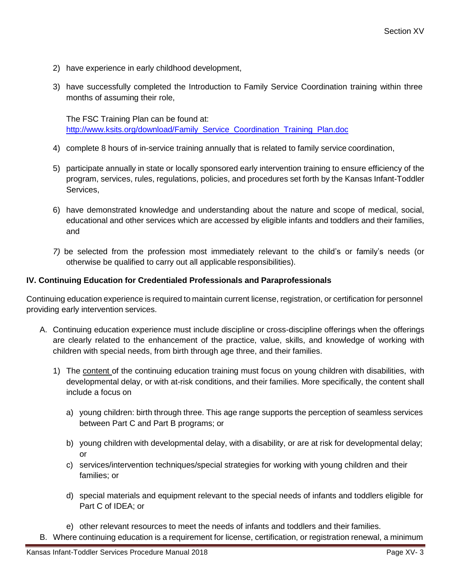- 2) have experience in early childhood development,
- 3) have successfully completed the Introduction to Family Service Coordination training within three months of assuming their role,

The FSC Training Plan can be found at: [http://www.ksits.org/download/Family\\_Service\\_Coordination\\_Training\\_Plan.doc](http://www.ksits.org/download/Family_Service_Coordination_Training_Plan.doc)

- 4) complete 8 hours of in-service training annually that is related to family service coordination,
- 5) participate annually in state or locally sponsored early intervention training to ensure efficiency of the program, services, rules, regulations, policies, and procedures set forth by the Kansas Infant-Toddler Services,
- 6) have demonstrated knowledge and understanding about the nature and scope of medical, social, educational and other services which are accessed by eligible infants and toddlers and their families, and
- *7)* be selected from the profession most immediately relevant to the child's or family's needs (or otherwise be qualified to carry out all applicable responsibilities).

### **IV. Continuing Education for Credentialed Professionals and Paraprofessionals**

Continuing education experience is required to maintain current license, registration, or certification for personnel providing early intervention services.

- A. Continuing education experience must include discipline or cross-discipline offerings when the offerings are clearly related to the enhancement of the practice, value, skills, and knowledge of working with children with special needs, from birth through age three, and their families.
	- 1) The content of the continuing education training must focus on young children with disabilities, with developmental delay, or with at-risk conditions, and their families. More specifically, the content shall include a focus on
		- a) young children: birth through three. This age range supports the perception of seamless services between Part C and Part B programs; or
		- b) young children with developmental delay, with a disability, or are at risk for developmental delay;  $\alpha$ r
		- c) services/intervention techniques/special strategies for working with young children and their families; or
		- d) special materials and equipment relevant to the special needs of infants and toddlers eligible for Part C of IDEA; or
		- e) other relevant resources to meet the needs of infants and toddlers and their families.
- B. Where continuing education is a requirement for license, certification, or registration renewal, a minimum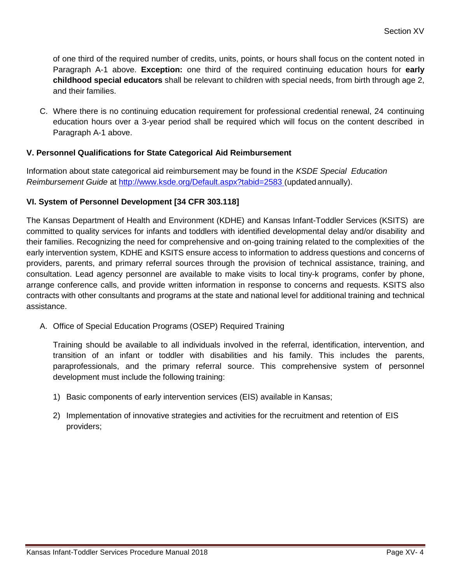of one third of the required number of credits, units, points, or hours shall focus on the content noted in Paragraph A-1 above. **Exception:** one third of the required continuing education hours for **early childhood special educators** shall be relevant to children with special needs, from birth through age 2, and their families.

C. Where there is no continuing education requirement for professional credential renewal, 24 continuing education hours over a 3-year period shall be required which will focus on the content described in Paragraph A-1 above.

# **V. Personnel Qualifications for State Categorical Aid Reimbursement**

Information about state categorical aid reimbursement may be found in the *KSDE Special Education Reimbursement Guide* at [http://www.ksde.org/Default.aspx?tabid=2583 \(](http://www.ksde.org/Default.aspx?tabid=2583)updated annually).

# **VI. System of Personnel Development [34 CFR 303.118]**

The Kansas Department of Health and Environment (KDHE) and Kansas Infant-Toddler Services (KSITS) are committed to quality services for infants and toddlers with identified developmental delay and/or disability and their families. Recognizing the need for comprehensive and on-going training related to the complexities of the early intervention system, KDHE and KSITS ensure access to information to address questions and concerns of providers, parents, and primary referral sources through the provision of technical assistance, training, and consultation. Lead agency personnel are available to make visits to local tiny-k programs, confer by phone, arrange conference calls, and provide written information in response to concerns and requests. KSITS also contracts with other consultants and programs at the state and national level for additional training and technical assistance.

A. Office of Special Education Programs (OSEP) Required Training

Training should be available to all individuals involved in the referral, identification, intervention, and transition of an infant or toddler with disabilities and his family. This includes the parents, paraprofessionals, and the primary referral source. This comprehensive system of personnel development must include the following training:

- 1) Basic components of early intervention services (EIS) available in Kansas;
- 2) Implementation of innovative strategies and activities for the recruitment and retention of EIS providers;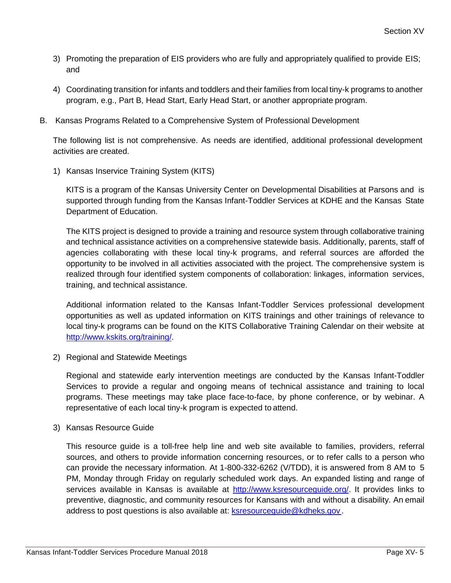- 3) Promoting the preparation of EIS providers who are fully and appropriately qualified to provide EIS; and
- 4) Coordinating transition for infants and toddlers and their families from local tiny-k programs to another program, e.g., Part B, Head Start, Early Head Start, or another appropriate program.
- B. Kansas Programs Related to a Comprehensive System of Professional Development

The following list is not comprehensive. As needs are identified, additional professional development activities are created.

1) Kansas Inservice Training System (KITS)

KITS is a program of the Kansas University Center on Developmental Disabilities at Parsons and is supported through funding from the Kansas Infant-Toddler Services at KDHE and the Kansas State Department of Education.

The KITS project is designed to provide a training and resource system through collaborative training and technical assistance activities on a comprehensive statewide basis. Additionally, parents, staff of agencies collaborating with these local tiny-k programs, and referral sources are afforded the opportunity to be involved in all activities associated with the project. The comprehensive system is realized through four identified system components of collaboration: linkages, information services, training, and technical assistance.

Additional information related to the Kansas Infant-Toddler Services professional development opportunities as well as updated information on KITS trainings and other trainings of relevance to local tiny-k programs can be found on the KITS Collaborative Training Calendar on their website at [http://www.kskits.org/training/.](http://www.kskits.org/training/)

2) Regional and Statewide Meetings

Regional and statewide early intervention meetings are conducted by the Kansas Infant-Toddler Services to provide a regular and ongoing means of technical assistance and training to local programs. These meetings may take place face-to-face, by phone conference, or by webinar. A representative of each local tiny-k program is expected to attend.

3) Kansas Resource Guide

This resource guide is a toll-free help line and web site available to families, providers, referral sources, and others to provide information concerning resources, or to refer calls to a person who can provide the necessary information. At 1-800-332-6262 (V/TDD), it is answered from 8 AM to 5 PM, Monday through Friday on regularly scheduled work days. An expanded listing and range of services available in Kansas is available at [http://www.ksresourceguide.org/.](http://www.ksresourceguide.org/) It provides links to preventive, diagnostic, and community resources for Kansans with and without a disability. An email address to post questions is also available at: [ksresourceguide@kdheks.gov](mailto:ksresourceguide@kdheks.gov)